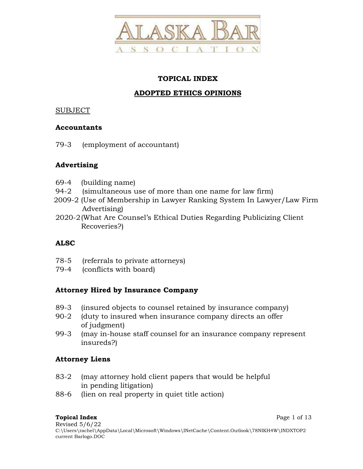

## **TOPICAL INDEX**

# **ADOPTED ETHICS OPINIONS**

## SUBJECT

## **Accountants**

79-3 (employment of accountant)

## **Advertising**

- 69-4 (building name)
- 94-2 (simultaneous use of more than one name for law firm)
- 2009-2 (Use of Membership in Lawyer Ranking System In Lawyer/Law Firm Advertising)
- 2020-2 (What Are Counsel's Ethical Duties Regarding Publicizing Client Recoveries?)

## **ALSC**

- 78-5 (referrals to private attorneys)
- 79-4 (conflicts with board)

## **Attorney Hired by Insurance Company**

- 89-3 (insured objects to counsel retained by insurance company)
- 90-2 (duty to insured when insurance company directs an offer of judgment)
- 99-3 (may in-house staff counsel for an insurance company represent insureds?)

## **Attorney Liens**

- 83-2 (may attorney hold client papers that would be helpful in pending litigation)
- 88-6 (lien on real property in quiet title action)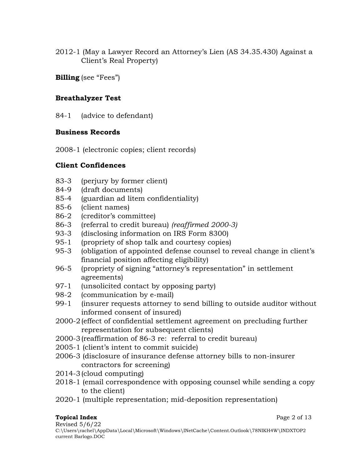2012-1 (May a Lawyer Record an Attorney's Lien (AS 34.35.430) Against a Client's Real Property)

**Billing** (see "Fees")

## **Breathalyzer Test**

84-1 (advice to defendant)

## **Business Records**

2008-1 (electronic copies; client records)

## **Client Confidences**

- 83-3 (perjury by former client)
- 84-9 (draft documents)
- 85-4 (guardian ad litem confidentiality)
- 85-6 (client names)
- 86-2 (creditor's committee)
- 86-3 (referral to credit bureau) *(reaffirmed 2000-3)*
- 93-3 (disclosing information on IRS Form 8300)
- 95-1 (propriety of shop talk and courtesy copies)
- 95-3 (obligation of appointed defense counsel to reveal change in client's financial position affecting eligibility)
- 96-5 (propriety of signing "attorney's representation" in settlement agreements)
- 97-1 (unsolicited contact by opposing party)
- 98-2 (communication by e-mail)
- 99-1 (insurer requests attorney to send billing to outside auditor without informed consent of insured)
- 2000-2 (effect of confidential settlement agreement on precluding further representation for subsequent clients)
- 2000-3 (reaffirmation of 86-3 re: referral to credit bureau)
- 2005-1 (client's intent to commit suicide)
- 2006-3 (disclosure of insurance defense attorney bills to non-insurer contractors for screening)
- 2014-3 (cloud computing)
- 2018-1 (email correspondence with opposing counsel while sending a copy to the client)
- 2020-1 (multiple representation; mid-deposition representation)

#### **Topical Index** Page 2 of 13

Revised 5/6/22 C:\Users\rachel\AppData\Local\Microsoft\Windows\INetCache\Content.Outlook\78NIKH4W\INDXTOP2 current Barlogo.DOC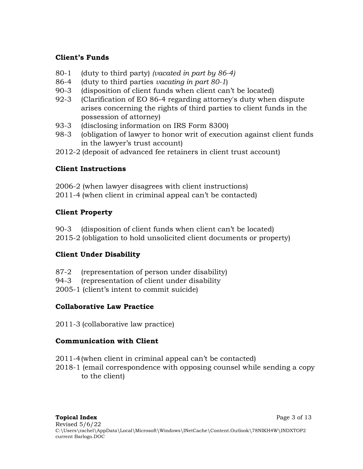## **Client's Funds**

- 80-1 (duty to third party) *(vacated in part by 86-4)*
- 86-4 (duty to third parties *vacating in part 80-1*)
- 90-3 (disposition of client funds when client can't be located)
- 92-3 (Clarification of EO 86-4 regarding attorney's duty when dispute arises concerning the rights of third parties to client funds in the possession of attorney)
- 93-3 (disclosing information on IRS Form 8300)
- 98-3 (obligation of lawyer to honor writ of execution against client funds in the lawyer's trust account)
- 2012-2 (deposit of advanced fee retainers in client trust account)

## **Client Instructions**

2006-2 (when lawyer disagrees with client instructions) 2011-4 (when client in criminal appeal can't be contacted)

## **Client Property**

90-3 (disposition of client funds when client can't be located) 2015-2 (obligation to hold unsolicited client documents or property)

## **Client Under Disability**

- 87-2 (representation of person under disability)
- 94-3 (representation of client under disability

2005-1 (client's intent to commit suicide)

## **Collaborative Law Practice**

2011-3 (collaborative law practice)

## **Communication with Client**

2011-4 (when client in criminal appeal can't be contacted)

2018-1 (email correspondence with opposing counsel while sending a copy to the client)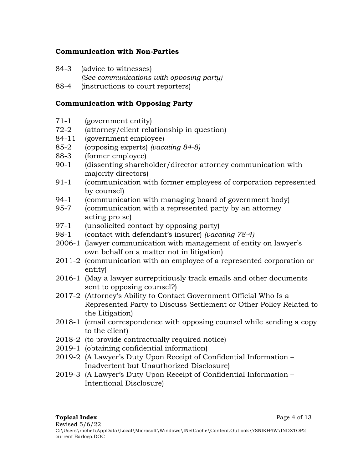#### **Communication with Non-Parties**

- 84-3 (advice to witnesses)
	- *(See communications with opposing party)*
- 88-4 (instructions to court reporters)

## **Communication with Opposing Party**

- 71-1 (government entity)
- 72-2 (attorney/client relationship in question)
- 84-11 (government employee)
- 85-2 (opposing experts) *(vacating 84-8)*
- 88-3 (former employee)
- 90-1 (dissenting shareholder/director attorney communication with majority directors)
- 91-1 (communication with former employees of corporation represented by counsel)
- 94-1 (communication with managing board of government body)
- 95-7 (communication with a represented party by an attorney acting pro se)
- 97-1 (unsolicited contact by opposing party)
- 98-1 (contact with defendant's insurer) *(vacating 78-4)*
- 2006-1 (lawyer communication with management of entity on lawyer's own behalf on a matter not in litigation)
- 2011-2 (communication with an employee of a represented corporation or entity)
- 2016-1 (May a lawyer surreptitiously track emails and other documents sent to opposing counsel?)
- 2017-2 (Attorney's Ability to Contact Government Official Who Is a Represented Party to Discuss Settlement or Other Policy Related to the Litigation)
- 2018-1 (email correspondence with opposing counsel while sending a copy to the client)
- 2018-2 (to provide contractually required notice)
- 2019-1 (obtaining confidential information)
- 2019-2 (A Lawyer's Duty Upon Receipt of Confidential Information Inadvertent but Unauthorized Disclosure)
- 2019-3 (A Lawyer's Duty Upon Receipt of Confidential Information Intentional Disclosure)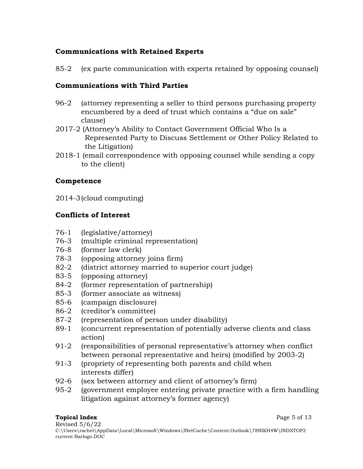## **Communications with Retained Experts**

85-2 (ex parte communication with experts retained by opposing counsel)

## **Communications with Third Parties**

- 96-2 (attorney representing a seller to third persons purchasing property encumbered by a deed of trust which contains a "due on sale" clause)
- 2017-2 (Attorney's Ability to Contact Government Official Who Is a Represented Party to Discuss Settlement or Other Policy Related to the Litigation)
- 2018-1 (email correspondence with opposing counsel while sending a copy to the client)

## **Competence**

2014-3 (cloud computing)

# **Conflicts of Interest**

- 76-1 (legislative/attorney)
- 76-3 (multiple criminal representation)
- 76-8 (former law clerk)
- 78-3 (opposing attorney joins firm)
- 82-2 (district attorney married to superior court judge)
- 83-5 (opposing attorney)
- 84-2 (former representation of partnership)
- 85-3 (former associate as witness)
- 85-6 (campaign disclosure)
- 86-2 (creditor's committee)
- 87-2 (representation of person under disability)
- 89-1 (concurrent representation of potentially adverse clients and class action)
- 91-2 (responsibilities of personal representative's attorney when conflict between personal representative and heirs) (modified by 2003-2)
- 91-3 (propriety of representing both parents and child when interests differ)
- 92-6 (sex between attorney and client of attorney's firm)
- 95-2 (government employee entering private practice with a firm handling litigation against attorney's former agency)

#### **Topical Index** Page 5 of 13 Revised 5/6/22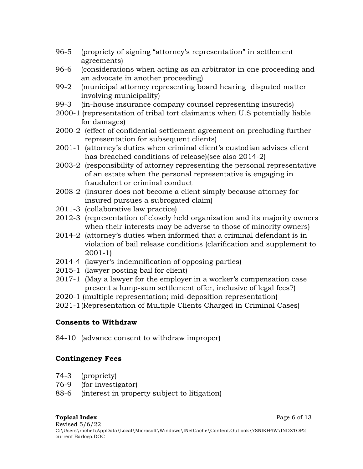- 96-5 (propriety of signing "attorney's representation" in settlement agreements)
- 96-6 (considerations when acting as an arbitrator in one proceeding and an advocate in another proceeding)
- 99-2 (municipal attorney representing board hearing disputed matter involving municipality)
- 99-3 (in-house insurance company counsel representing insureds)
- 2000-1 (representation of tribal tort claimants when U.S potentially liable for damages)
- 2000-2 (effect of confidential settlement agreement on precluding further representation for subsequent clients)
- 2001-1 (attorney's duties when criminal client's custodian advises client has breached conditions of release)(see also 2014-2)
- 2003-2 (responsibility of attorney representing the personal representative of an estate when the personal representative is engaging in fraudulent or criminal conduct
- 2008-2 (insurer does not become a client simply because attorney for insured pursues a subrogated claim)
- 2011-3 (collaborative law practice)
- 2012-3 (representation of closely held organization and its majority owners when their interests may be adverse to those of minority owners)
- 2014-2 (attorney's duties when informed that a criminal defendant is in violation of bail release conditions (clarification and supplement to 2001-1)
- 2014-4 (lawyer's indemnification of opposing parties)
- 2015-1 (lawyer posting bail for client)
- 2017-1 (May a lawyer for the employer in a worker's compensation case present a lump-sum settlement offer, inclusive of legal fees?)
- 2020-1 (multiple representation; mid-deposition representation)
- 2021-1 (Representation of Multiple Clients Charged in Criminal Cases)

# **Consents to Withdraw**

84-10 (advance consent to withdraw improper)

## **Contingency Fees**

- 74-3 (propriety)
- 76-9 (for investigator)
- 88-6 (interest in property subject to litigation)

#### **Topical Index** Page 6 of 13 Revised 5/6/22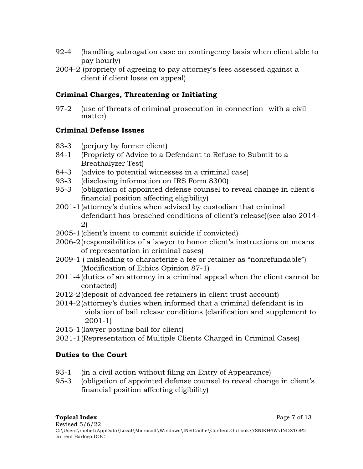- 92-4 (handling subrogation case on contingency basis when client able to pay hourly)
- 2004-2 (propriety of agreeing to pay attorney's fees assessed against a client if client loses on appeal)

## **Criminal Charges, Threatening or Initiating**

97-2 (use of threats of criminal prosecution in connection with a civil matter)

## **Criminal Defense Issues**

- 83-3 (perjury by former client)
- 84-1 (Propriety of Advice to a Defendant to Refuse to Submit to a Breathalyzer Test)
- 84-3 (advice to potential witnesses in a criminal case)
- 93-3 (disclosing information on IRS Form 8300)
- 95-3 (obligation of appointed defense counsel to reveal change in client's financial position affecting eligibility)
- 2001-1 (attorney's duties when advised by custodian that criminal defendant has breached conditions of client's release)(see also 2014- 2)
- 2005-1 (client's intent to commit suicide if convicted)
- 2006-2 (responsibilities of a lawyer to honor client's instructions on means of representation in criminal cases)
- 2009-1 ( misleading to characterize a fee or retainer as "nonrefundable") (Modification of Ethics Opinion 87-1)
- 2011-4 (duties of an attorney in a criminal appeal when the client cannot be contacted)
- 2012-2 (deposit of advanced fee retainers in client trust account)
- 2014-2 (attorney's duties when informed that a criminal defendant is in violation of bail release conditions (clarification and supplement to 2001-1)
- 2015-1 (lawyer posting bail for client)
- 2021-1 (Representation of Multiple Clients Charged in Criminal Cases)

# **Duties to the Court**

- 93-1 (in a civil action without filing an Entry of Appearance)
- 95-3 (obligation of appointed defense counsel to reveal change in client's financial position affecting eligibility)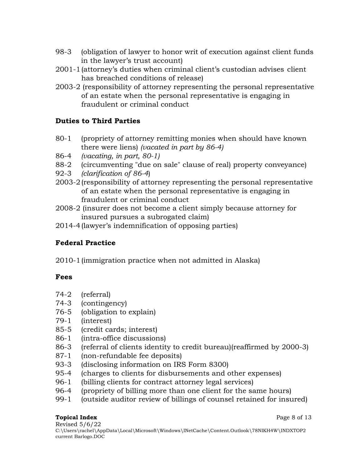- 98-3 (obligation of lawyer to honor writ of execution against client funds in the lawyer's trust account)
- 2001-1 (attorney's duties when criminal client's custodian advises client has breached conditions of release)
- 2003-2 (responsibility of attorney representing the personal representative of an estate when the personal representative is engaging in fraudulent or criminal conduct

# **Duties to Third Parties**

- 80-1 (propriety of attorney remitting monies when should have known there were liens) *(vacated in part by 86-4)*
- 86-4 *(vacating, in part, 80-1)*
- 88-2 (circumventing "due on sale" clause of real) property conveyance)
- 92-3 *(clarification of 86-4*)
- 2003-2 (responsibility of attorney representing the personal representative of an estate when the personal representative is engaging in fraudulent or criminal conduct
- 2008-2 (insurer does not become a client simply because attorney for insured pursues a subrogated claim)
- 2014-4 (lawyer's indemnification of opposing parties)

# **Federal Practice**

2010-1 (immigration practice when not admitted in Alaska)

## **Fees**

- 74-2 (referral)
- 74-3 (contingency)
- 76-5 (obligation to explain)
- 79-1 (interest)
- 85-5 (credit cards; interest)
- 86-1 (intra-office discussions)
- 86-3 (referral of clients identity to credit bureau)(reaffirmed by 2000-3)
- 87-1 (non-refundable fee deposits)
- 93-3 (disclosing information on IRS Form 8300)
- 95-4 (charges to clients for disbursements and other expenses)
- 96-1 (billing clients for contract attorney legal services)
- 96-4 (propriety of billing more than one client for the same hours)
- 99-1 (outside auditor review of billings of counsel retained for insured)

#### **Topical Index** Page 8 of 13

Revised 5/6/22 C:\Users\rachel\AppData\Local\Microsoft\Windows\INetCache\Content.Outlook\78NIKH4W\INDXTOP2 current Barlogo.DOC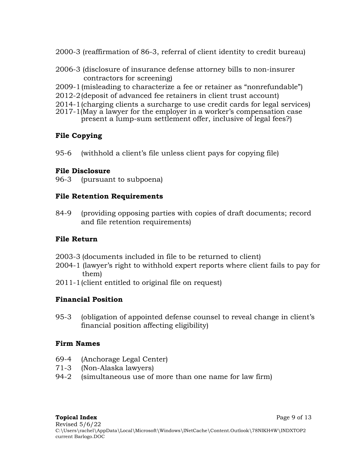- 2000-3 (reaffirmation of 86-3, referral of client identity to credit bureau)
- 2006-3 (disclosure of insurance defense attorney bills to non-insurer contractors for screening)
- 2009-1 (misleading to characterize a fee or retainer as "nonrefundable")
- 2012-2 (deposit of advanced fee retainers in client trust account)
- 2014-1 (charging clients a surcharge to use credit cards for legal services)
- 2017-1(May a lawyer for the employer in a worker's compensation case present a lump-sum settlement offer, inclusive of legal fees?)

# **File Copying**

95-6 (withhold a client's file unless client pays for copying file)

## **File Disclosure**

96-3 (pursuant to subpoena)

#### **File Retention Requirements**

84-9 (providing opposing parties with copies of draft documents; record and file retention requirements)

## **File Return**

- 2003-3 (documents included in file to be returned to client)
- 2004-1 (lawyer's right to withhold expert reports where client fails to pay for them)
- 2011-1 (client entitled to original file on request)

## **Financial Position**

95-3 (obligation of appointed defense counsel to reveal change in client's financial position affecting eligibility)

## **Firm Names**

- 69-4 (Anchorage Legal Center)
- 71-3 (Non-Alaska lawyers)
- 94-2 (simultaneous use of more than one name for law firm)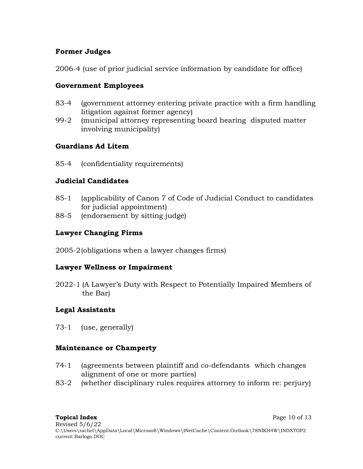#### **Former Judges**

2006-4 (use of prior judicial service information by candidate for office)

#### **Government Employees**

- 83-4 (government attorney entering private practice with a firm handling litigation against former agency)
- 99-2 (municipal attorney representing board hearing disputed matter involving municipality)

## **Guardians Ad Litem**

85-4 (confidentiality requirements)

## **Judicial Candidates**

- 85-1 (applicability of Canon 7 of Code of Judicial Conduct to candidates for judicial appointment)
- 88-5 (endorsement by sitting judge)

#### **Lawyer Changing Firms**

2005-2 (obligations when a lawyer changes firms)

## **Lawyer Wellness or Impairment**

2022-1 (A Lawyer's Duty with Respect to Potentially Impaired Members of the Bar)

## **Legal Assistants**

73-1 (use, generally)

## **Maintenance or Champerty**

- 74-1 (agreements between plaintiff and co-defendants which changes alignment of one or more parties)
- 83-2 (whether disciplinary rules requires attorney to inform re: perjury)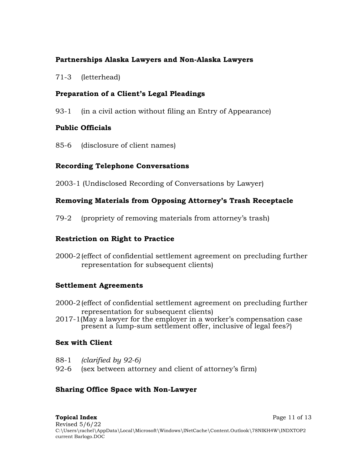#### **Partnerships Alaska Lawyers and Non-Alaska Lawyers**

71-3 (letterhead)

## **Preparation of a Client's Legal Pleadings**

93-1 (in a civil action without filing an Entry of Appearance)

#### **Public Officials**

85-6 (disclosure of client names)

## **Recording Telephone Conversations**

2003-1 (Undisclosed Recording of Conversations by Lawyer)

## **Removing Materials from Opposing Attorney's Trash Receptacle**

79-2 (propriety of removing materials from attorney's trash)

#### **Restriction on Right to Practice**

2000-2 (effect of confidential settlement agreement on precluding further representation for subsequent clients)

## **Settlement Agreements**

- 2000-2 (effect of confidential settlement agreement on precluding further representation for subsequent clients)
- 2017-1(May a lawyer for the employer in a worker's compensation case present a lump-sum settlement offer, inclusive of legal fees?)

#### **Sex with Client**

- 88-1 *(clarified by 92-6)*
- 92-6 (sex between attorney and client of attorney's firm)

## **Sharing Office Space with Non-Lawyer**

**Topical Index** Page 11 of 13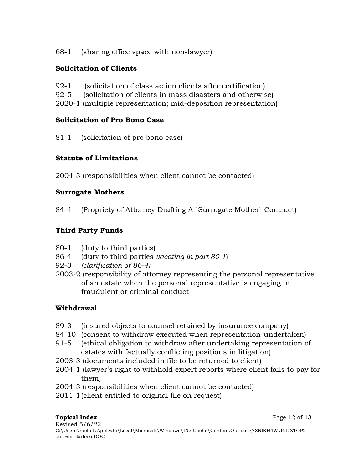68-1 (sharing office space with non-lawyer)

## **Solicitation of Clients**

- 92-1 (solicitation of class action clients after certification)
- 92-5 (solicitation of clients in mass disasters and otherwise)
- 2020-1 (multiple representation; mid-deposition representation)

## **Solicitation of Pro Bono Case**

81-1 (solicitation of pro bono case)

# **Statute of Limitations**

2004-3 (responsibilities when client cannot be contacted)

## **Surrogate Mothers**

84-4 (Propriety of Attorney Drafting A "Surrogate Mother" Contract)

# **Third Party Funds**

- 80-1 (duty to third parties)
- 86-4 (duty to third parties *vacating in part 80-1*)
- 92-3 *(clarification of 86-4)*
- 2003-2 (responsibility of attorney representing the personal representative of an estate when the personal representative is engaging in fraudulent or criminal conduct

# **Withdrawal**

- 89-3 (insured objects to counsel retained by insurance company)
- 84-10 (consent to withdraw executed when representation undertaken)
- 91-5 (ethical obligation to withdraw after undertaking representation of estates with factually conflicting positions in litigation)
- 2003-3 (documents included in file to be returned to client)
- 2004-1 (lawyer's right to withhold expert reports where client fails to pay for them)
- 2004-3 (responsibilities when client cannot be contacted)
- 2011-1 (client entitled to original file on request)

# **Topical Index** Page 12 of 13